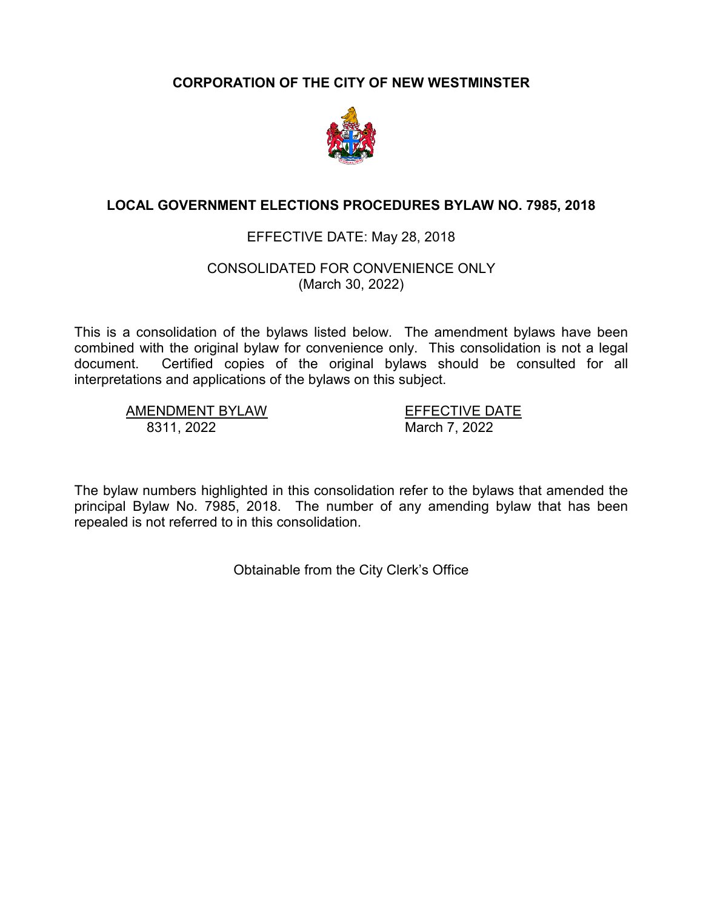# **CORPORATION OF THE CITY OF NEW WESTMINSTER**



# **LOCAL GOVERNMENT ELECTIONS PROCEDURES BYLAW NO. 7985, 2018**

# EFFECTIVE DATE: May 28, 2018

## CONSOLIDATED FOR CONVENIENCE ONLY (March 30, 2022)

This is a consolidation of the bylaws listed below. The amendment bylaws have been combined with the original bylaw for convenience only. This consolidation is not a legal document. Certified copies of the original bylaws should be consulted for all interpretations and applications of the bylaws on this subject.

AMENDMENT BYLAW EFFECTIVE DATE<br>8311. 2022 March 7. 2022

March 7, 2022

The bylaw numbers highlighted in this consolidation refer to the bylaws that amended the principal Bylaw No. 7985, 2018. The number of any amending bylaw that has been repealed is not referred to in this consolidation.

Obtainable from the City Clerk's Office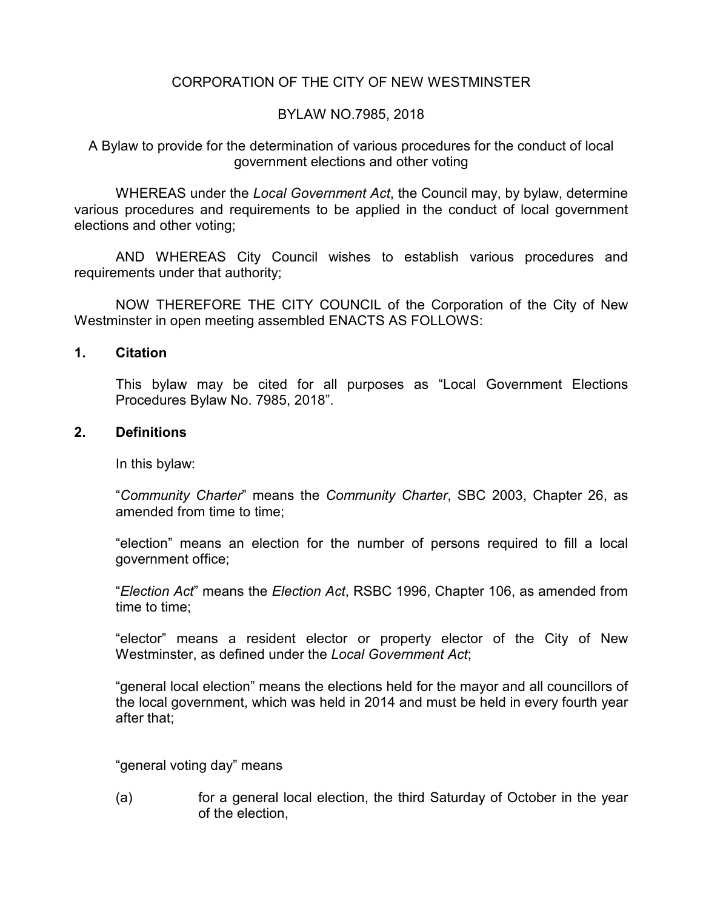# CORPORATION OF THE CITY OF NEW WESTMINSTER

## BYLAW NO.7985, 2018

A Bylaw to provide for the determination of various procedures for the conduct of local government elections and other voting

WHEREAS under the *Local Government Act*, the Council may, by bylaw, determine various procedures and requirements to be applied in the conduct of local government elections and other voting;

AND WHEREAS City Council wishes to establish various procedures and requirements under that authority;

NOW THEREFORE THE CITY COUNCIL of the Corporation of the City of New Westminster in open meeting assembled ENACTS AS FOLLOWS:

#### **1. Citation**

This bylaw may be cited for all purposes as "Local Government Elections Procedures Bylaw No. 7985, 2018".

#### **2. Definitions**

In this bylaw:

"*Community Charter*" means the *Community Charter*, SBC 2003, Chapter 26, as amended from time to time;

"election" means an election for the number of persons required to fill a local government office;

"*Election Act*" means the *Election Act*, RSBC 1996, Chapter 106, as amended from time to time;

"elector" means a resident elector or property elector of the City of New Westminster, as defined under the *Local Government Act*;

"general local election" means the elections held for the mayor and all councillors of the local government, which was held in 2014 and must be held in every fourth year after that;

"general voting day" means

(a) for a general local election, the third Saturday of October in the year of the election,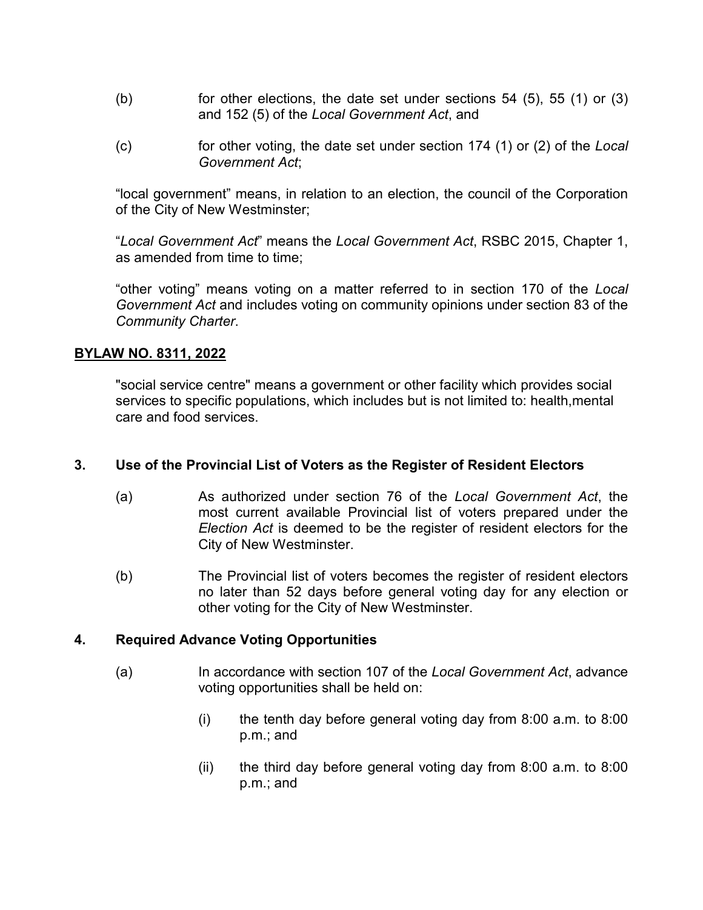- (b) for other elections, the date set under sections  $54$  (5),  $55$  (1) or (3) and 152 (5) of the *Local Government Act*, and
- (c) for other voting, the date set under section 174 (1) or (2) of the *Local Government Act*;

"local government" means, in relation to an election, the council of the Corporation of the City of New Westminster;

"*Local Government Act*" means the *Local Government Act*, RSBC 2015, Chapter 1, as amended from time to time;

"other voting" means voting on a matter referred to in section 170 of the *Local Government Act* and includes voting on community opinions under section 83 of the *Community Charter*.

# **BYLAW NO. 8311, 2022**

"social service centre" means a government or other facility which provides social services to specific populations, which includes but is not limited to: health,mental care and food services.

## **3. Use of the Provincial List of Voters as the Register of Resident Electors**

- (a) As authorized under section 76 of the *Local Government Act*, the most current available Provincial list of voters prepared under the *Election Act* is deemed to be the register of resident electors for the City of New Westminster.
- (b) The Provincial list of voters becomes the register of resident electors no later than 52 days before general voting day for any election or other voting for the City of New Westminster.

## **4. Required Advance Voting Opportunities**

- (a) In accordance with section 107 of the *Local Government Act*, advance voting opportunities shall be held on:
	- (i) the tenth day before general voting day from 8:00 a.m. to 8:00 p.m.; and
	- (ii) the third day before general voting day from 8:00 a.m. to 8:00 p.m.; and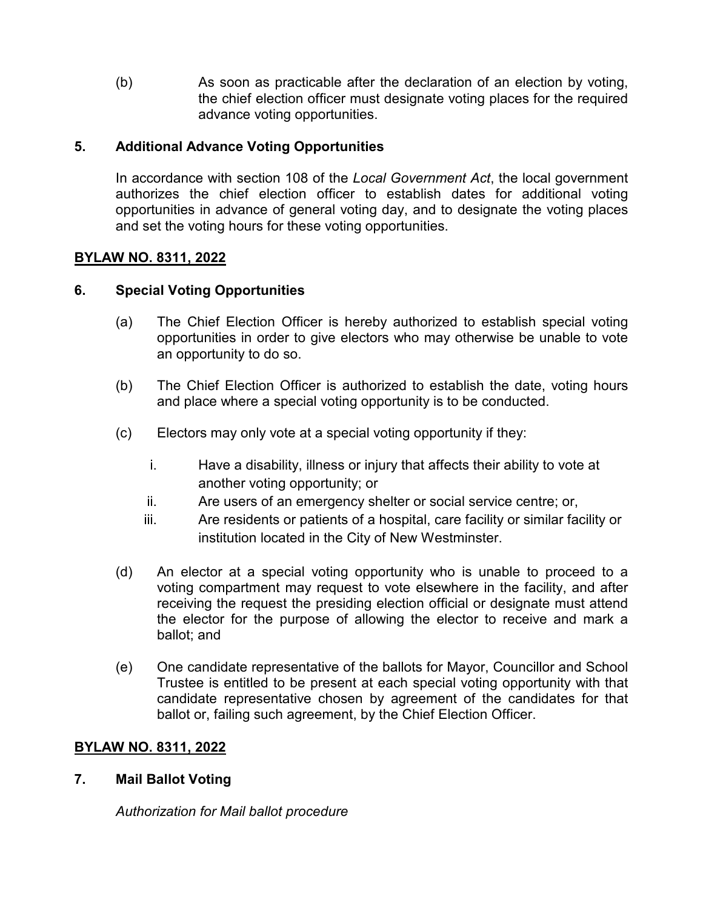(b) As soon as practicable after the declaration of an election by voting, the chief election officer must designate voting places for the required advance voting opportunities.

# **5. Additional Advance Voting Opportunities**

In accordance with section 108 of the *Local Government Act*, the local government authorizes the chief election officer to establish dates for additional voting opportunities in advance of general voting day, and to designate the voting places and set the voting hours for these voting opportunities.

# **BYLAW NO. 8311, 2022**

# **6. Special Voting Opportunities**

- (a) The Chief Election Officer is hereby authorized to establish special voting opportunities in order to give electors who may otherwise be unable to vote an opportunity to do so.
- (b) The Chief Election Officer is authorized to establish the date, voting hours and place where a special voting opportunity is to be conducted.
- (c) Electors may only vote at a special voting opportunity if they:
	- i. Have a disability, illness or injury that affects their ability to vote at another voting opportunity; or
	- ii. Are users of an emergency shelter or social service centre; or,
	- iii. Are residents or patients of a hospital, care facility or similar facility or institution located in the City of New Westminster.
- (d) An elector at a special voting opportunity who is unable to proceed to a voting compartment may request to vote elsewhere in the facility, and after receiving the request the presiding election official or designate must attend the elector for the purpose of allowing the elector to receive and mark a ballot; and
- (e) One candidate representative of the ballots for Mayor, Councillor and School Trustee is entitled to be present at each special voting opportunity with that candidate representative chosen by agreement of the candidates for that ballot or, failing such agreement, by the Chief Election Officer.

## **BYLAW NO. 8311, 2022**

## **7. Mail Ballot Voting**

*Authorization for Mail ballot procedure*